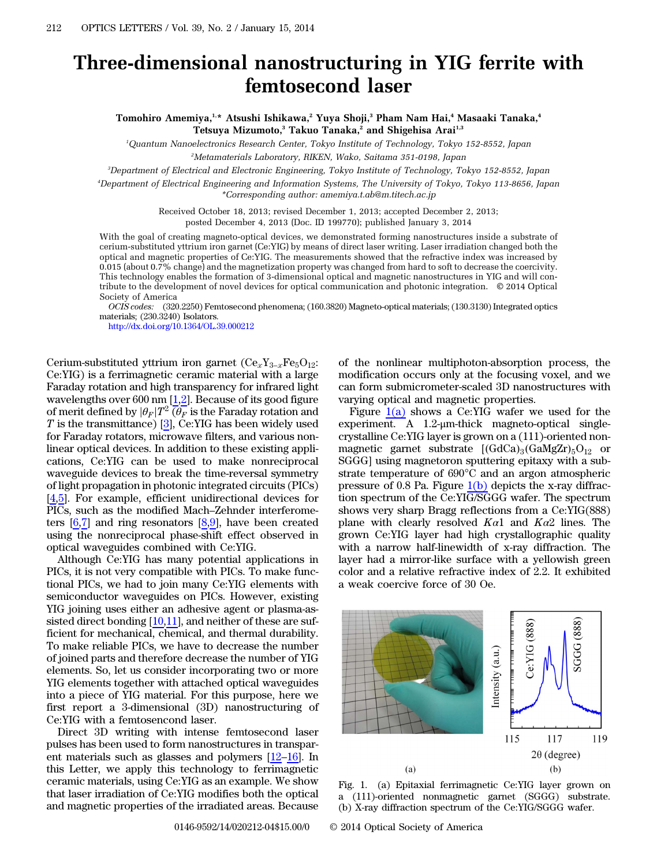## Three-dimensional nanostructuring in YIG ferrite with femtosecond laser

Tomohiro Amemiya,<sup>1,\*</sup> Atsushi Ishikawa,<sup>2</sup> Yuya Shoji,<sup>3</sup> Pham Nam Hai,<sup>4</sup> Masaaki Tanaka,<sup>4</sup> Tetsuya Mizumoto,<sup>3</sup> Takuo Tanaka,<sup>2</sup> and Shigehisa Arai<sup>1,3</sup>

1 Quantum Nanoelectronics Research Center, Tokyo Institute of Technology, Tokyo 152-8552, Japan 2 Metamaterials Laboratory, RIKEN, Wako, Saitama 351-0198, Japan

3 Department of Electrical and Electronic Engineering, Tokyo Institute of Technology, Tokyo 152-8552, Japan

4 Department of Electrical Engineering and Information Systems, The University of Tokyo, Tokyo 113-8656, Japan \*Corresponding author: amemiya.t.ab@m.titech.ac.jp

> Received October 18, 2013; revised December 1, 2013; accepted December 2, 2013; posted December 4, 2013 (Doc. ID 199770); published January 3, 2014

With the goal of creating magneto-optical devices, we demonstrated forming nanostructures inside a substrate of cerium-substituted yttrium iron garnet (Ce:YIG) by means of direct laser writing. Laser irradiation changed both the optical and magnetic properties of Ce:YIG. The measurements showed that the refractive index was increased by 0.015 (about 0.7% change) and the magnetization property was changed from hard to soft to decrease the coercivity. This technology enables the formation of 3-dimensional optical and magnetic nanostructures in YIG and will contribute to the development of novel devices for optical communication and photonic integration. © 2014 Optical Society of America

OCIS codes: (320.2250) Femtosecond phenomena; (160.3820) Magneto-optical materials; (130.3130) Integrated optics materials; (230.3240) Isolators.

<http://dx.doi.org/10.1364/OL.39.000212>

Cerium-substituted yttrium iron garnet  $(Ce_xY_{3-x}Fe_5O_{12}$ : Ce:YIG) is a ferrimagnetic ceramic material with a large Faraday rotation and high transparency for infrared light wavelengths over 600 nm  $[1,2]$  $[1,2]$  $[1,2]$ . Because of its good figure of merit defined by  $|\theta_F|T^2 \overline{(\theta_F)}$  is the Faraday rotation and T is the transmittance) [[3\]](#page-3-2), Ce:YIG has been widely used for Faraday rotators, microwave filters, and various nonlinear optical devices. In addition to these existing applications, Ce:YIG can be used to make nonreciprocal waveguide devices to break the time-reversal symmetry of light propagation in photonic integrated circuits (PICs) [\[4](#page-3-3),[5\]](#page-3-4). For example, efficient unidirectional devices for eations, ec.110 can be used to higher homeeppoear<br>waveguide devices to break the time-reversal symmetry<br>of light propagation in photonic integrated circuits (PICs)<br>[4,5]. For example, efficient unidirectional devices for<br>P ters  $[6,7]$  $[6,7]$  $[6,7]$  and ring resonators  $[8,9]$  $[8,9]$  $[8,9]$ , have been created using the nonreciprocal phase-shift effect observed in optical waveguides combined with Ce:YIG.

Although Ce:YIG has many potential applications in PICs, it is not very compatible with PICs. To make functional PICs, we had to join many Ce:YIG elements with semiconductor waveguides on PICs. However, existing YIG joining uses either an adhesive agent or plasma-assisted direct bonding  $[10,11]$  $[10,11]$  $[10,11]$  $[10,11]$ , and neither of these are sufficient for mechanical, chemical, and thermal durability. To make reliable PICs, we have to decrease the number of joined parts and therefore decrease the number of YIG elements. So, let us consider incorporating two or more YIG elements together with attached optical waveguides into a piece of YIG material. For this purpose, here we first report a 3-dimensional (3D) nanostructuring of Ce:YIG with a femtosencond laser.

Direct 3D writing with intense femtosecond laser pulses has been used to form nanostructures in transparent materials such as glasses and polymers [\[12](#page-3-11)–[16](#page-3-12)]. In this Letter, we apply this technology to ferrimagnetic ceramic materials, using Ce:YIG as an example. We show that laser irradiation of Ce:YIG modifies both the optical and magnetic properties of the irradiated areas. Because

of the nonlinear multiphoton-absorption process, the modification occurs only at the focusing voxel, and we can form submicrometer-scaled 3D nanostructures with varying optical and magnetic properties.

Figure  $1(a)$  shows a Ce:YIG wafer we used for the experiment. A 1.2-μm-thick magneto-optical singlecrystalline Ce:YIG layer is grown on a (111)-oriented nonmagnetic garnet substrate  $[(GdCa)_3(GaMgZr)_5O_{12}$  or SGGG] using magnetoron sputtering epitaxy with a substrate temperature of 690°C and an argon atmospheric pressure of 0.8 Pa. Figure  $1(b)$  depicts the x-ray diffraction spectrum of the Ce:YIG/SGGG wafer. The spectrum shows very sharp Bragg reflections from a Ce:YIG(888) plane with clearly resolved  $Ka1$  and  $Ka2$  lines. The grown Ce:YIG layer had high crystallographic quality with a narrow half-linewidth of x-ray diffraction. The layer had a mirror-like surface with a yellowish green color and a relative refractive index of 2.2. It exhibited a weak coercive force of 30 Oe.

<span id="page-0-0"></span>

Fig. 1. (a) Epitaxial ferrimagnetic Ce:YIG layer grown on a (111)-oriented nonmagnetic garnet (SGGG) substrate. (b) X-ray diffraction spectrum of the Ce:YIG/SGGG wafer.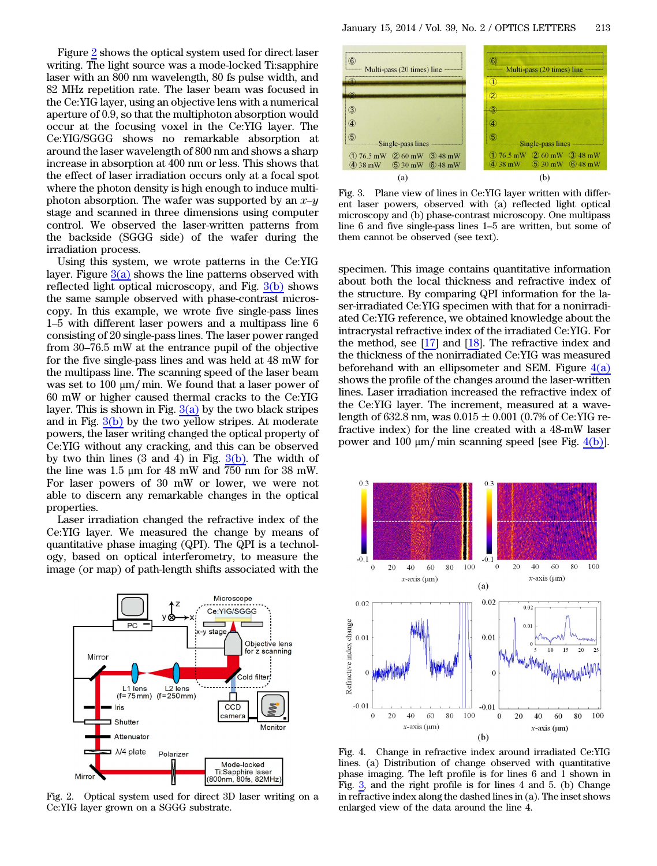Figure [2](#page-1-0) shows the optical system used for direct laser writing. The light source was a mode-locked Ti:sapphire laser with an 800 nm wavelength, 80 fs pulse width, and 82 MHz repetition rate. The laser beam was focused in the Ce:YIG layer, using an objective lens with a numerical aperture of 0.9, so that the multiphoton absorption would occur at the focusing voxel in the Ce:YIG layer. The Ce:YIG/SGGG shows no remarkable absorption at around the laser wavelength of 800 nm and shows a sharp increase in absorption at 400 nm or less. This shows that the effect of laser irradiation occurs only at a focal spot where the photon density is high enough to induce multiphoton absorption. The wafer was supported by an x*–*y stage and scanned in three dimensions using computer control. We observed the laser-written patterns from the backside (SGGG side) of the wafer during the irradiation process.

Using this system, we wrote patterns in the Ce:YIG layer. Figure  $3(a)$  shows the line patterns observed with reflected light optical microscopy, and Fig.  $\frac{3(b)}{2(b)}$  $\frac{3(b)}{2(b)}$  $\frac{3(b)}{2(b)}$  shows<br>the same sample observed with phase-contrast micros-<br>copy. In this example, we wrote five single-pass lines<br>1–5 with different laser powers and a multipass l the same sample observed with phase-contrast microscopy. In this example, we wrote five single-pass lines from 30–76.5 mW at the entrance pupil of the objective consisting of 20 single-pass lines. The laser power ranged for the five single-pass lines and was held at 48 mW for the multipass line. The scanning speed of the laser beam was set to 100 μm∕ min. We found that a laser power of 60 mW or higher caused thermal cracks to the Ce:YIG layer. This is shown in Fig.  $3(a)$  by the two black stripes and in Fig.  $3(b)$  by the two yellow stripes. At moderate powers, the laser writing changed the optical property of Ce:YIG without any cracking, and this can be observed by two thin lines  $(3 \text{ and } 4)$  in Fig.  $3(b)$ . The width of the line was 1.5 μm for 48 mW and 750 nm for 38 mW. For laser powers of 30 mW or lower, we were not able to discern any remarkable changes in the optical properties.

Laser irradiation changed the refractive index of the Ce:YIG layer. We measured the change by means of quantitative phase imaging (QPI). The QPI is a technology, based on optical interferometry, to measure the image (or map) of path-length shifts associated with the

<span id="page-1-0"></span>

Fig. 2. Optical system used for direct 3D laser writing on a Ce:YIG layer grown on a SGGG substrate.

<span id="page-1-1"></span>

Fig. 3. Plane view of lines in Ce:YIG layer written with different laser powers, observed with (a) reflected light optical microscopy and (b) phase-contrast microscopy. One multipass Fig. 3. Plane view of lines in Ce:YIG layer written with different laser powers, observed with (a) reflected light optical microscopy and (b) phase-contrast microscopy. One multipass line 6 and five single-pass lines 1–5 a them cannot be observed (see text).

specimen. This image contains quantitative information about both the local thickness and refractive index of the structure. By comparing QPI information for the laser-irradiated Ce:YIG specimen with that for a nonirradiated Ce:YIG reference, we obtained knowledge about the intracrystal refractive index of the irradiated Ce:YIG. For the method, see  $[17]$  $[17]$  and  $[18]$  $[18]$ . The refractive index and the thickness of the nonirradiated Ce:YIG was measured beforehand with an ellipsometer and SEM. Figure  $4(a)$ shows the profile of the changes around the laser-written lines. Laser irradiation increased the refractive index of the Ce:YIG layer. The increment, measured at a wavelength of 632.8 nm, was  $0.015 \pm 0.001$  (0.7% of Ce:YIG refractive index) for the line created with a 48-mW laser power and 100 μm/ min scanning speed [see Fig. [4\(b\)\]](#page-1-2).

<span id="page-1-2"></span>

Fig. 4. Change in refractive index around irradiated Ce:YIG lines. (a) Distribution of change observed with quantitative phase imaging. The left profile is for lines 6 and 1 shown in Fig. [3](#page-1-1), and the right profile is for lines 4 and 5. (b) Change in refractive index along the dashed lines in (a). The inset shows enlarged view of the data around the line 4.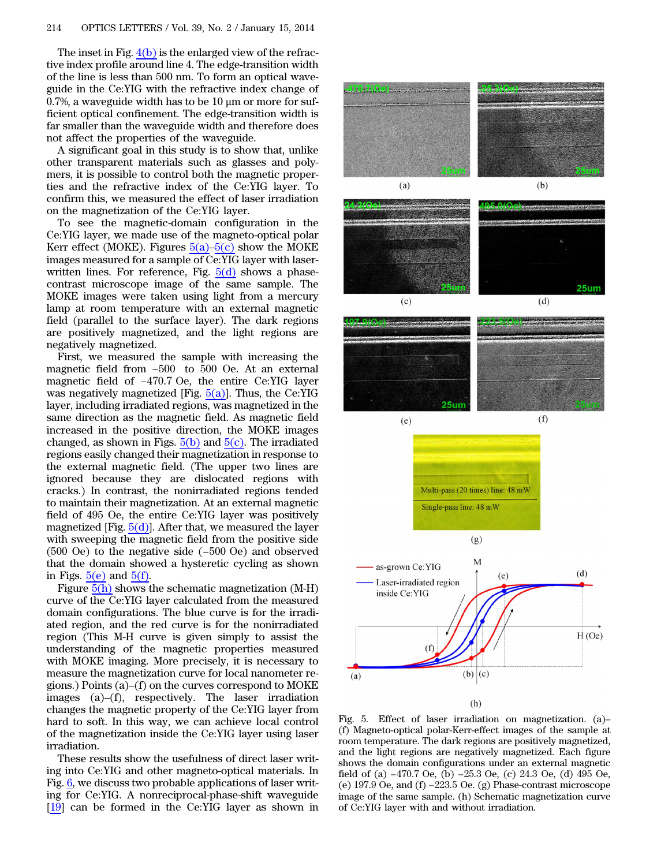The inset in Fig.  $4(b)$  is the enlarged view of the refractive index profile around line 4. The edge-transition width of the line is less than 500 nm. To form an optical waveguide in the Ce:YIG with the refractive index change of 0.7%, a waveguide width has to be  $10 \mu m$  or more for sufficient optical confinement. The edge-transition width is far smaller than the waveguide width and therefore does not affect the properties of the waveguide.

A significant goal in this study is to show that, unlike other transparent materials such as glasses and polymers, it is possible to control both the magnetic properties and the refractive index of the Ce:YIG layer. To confirm this, we measured the effect of laser irradiation on the magnetization of the Ce:YIG layer.

To see the magnetic-domain configuration in the Ce:YIG layer, we made use of the magneto-optical polar Kerr effect (MOKE). Figures  $5(a)$ – $5(c)$  show the MOKE images measured for a sample of Ce:YIG layer with laserwritten lines. For reference, Fig.  $5(d)$  shows a phasecontrast microscope image of the same sample. The MOKE images were taken using light from a mercury lamp at room temperature with an external magnetic field (parallel to the surface layer). The dark regions Figure positively magnetized, and the light regions are megatively magnetized.<br>First, we measured the sample with increasing the magnetic field from −500 to 500 Oe. At an external negatively magnetized.

First, we measured the sample with increasing the magnetic field from −500 to 500 Oe. At an external magnetic field of −470.7 Oe, the entire Ce:YIG layer was negatively magnetized [Fig.  $5(a)$ ]. Thus, the Ce:YIG layer, including irradiated regions, was magnetized in the same direction as the magnetic field. As magnetic field increased in the positive direction, the MOKE images changed, as shown in Figs.  $5(b)$  and  $5(c)$ . The irradiated regions easily changed their magnetization in response to the external magnetic field. (The upper two lines are ignored because they are dislocated regions with cracks.) In contrast, the nonirradiated regions tended to maintain their magnetization. At an external magnetic field of 495 Oe, the entire Ce:YIG layer was positively magnetized [Fig.  $5(d)$ ]. After that, we measured the layer with sweeping the magnetic field from the positive side (500 Oe) to the negative side (−500 Oe) and observ magnetized [Fig.  $5(d)$ ]. After that, we measured the layer with sweeping the magnetic field from the positive side that the domain showed a hysteretic cycling as shown in Figs.  $5(e)$  and  $5(f)$ .

Figure  $\overline{5(h)}$  $\overline{5(h)}$  $\overline{5(h)}$  shows the schematic magnetization (M-H) curve of the Ce:YIG layer calculated from the measured domain configurations. The blue curve is for the irradiated region, and the red curve is for the nonirradiated region (This M-H curve is given simply to assist the understanding of the magnetic properties measured with MOKE imaging. More precisely, it is necessary to measure the magnetization curve for local nanometer reregion (This M-11 cuve is given shipty to assist the<br>understanding of the magnetic properties measured<br>with MOKE imaging. More precisely, it is necessary to<br>measure the magnetization curve for local nanometer re-<br>gions.) P gions.) Points (a)–(f) on the curves correspond to MOKE images (a)–(f), respectively. The laser irradiation changes the magnetic property of the Ce:YIG layer from hard to soft. In this way, we can achieve local control of the magnetization inside the Ce:YIG layer using laser irradiation.

These results show the usefulness of direct laser writing into Ce:YIG and other magneto-optical materials. In Fig. [6](#page-3-15), we discuss two probable applications of laser writing for Ce:YIG. A nonreciprocal-phase-shift waveguide [\[19](#page-3-16)] can be formed in the Ce:YIG layer as shown in

<span id="page-2-0"></span>

(f) Magneto-optical polar-Kerr-effect images of the sample at room temperature. The dark regions are positively magnetized, and the light regions are negatively magnetized. Each figure shows the domain configurations under an external magnetic for magneto optical point next enterct mages of the standard room temperature. The dark regions are positively magnetized, and the light regions are negatively magnetized. Each figure shows the domain configurations under From temperature. The data regions are positively magnetized,<br>and the light regions are negatively magnetized. Each figure<br>shows the domain configurations under an external magnetic<br>field of (a) −470.7 Oe, (b) −25.3 Oe. ( image of the same sample. (h) Schematic magnetization curve of Ce:YIG layer with and without irradiation.